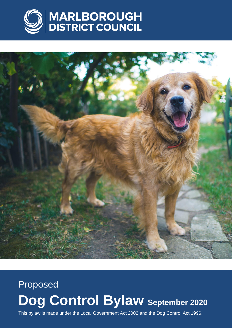



# Proposed **Dog Control Bylaw September 2020**

This bylaw is made under the Local Government Act 2002 and the Dog Control Act 1996.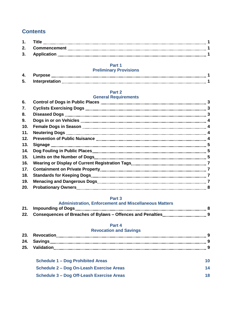#### **Contents**

| 3. Application<br>$\color{red} \textcolor{red} \textcolor{red} \textcolor{red} \textcolor{black} \textcolor{red} \textcolor{red} \textcolor{black} \textcolor{red} \textcolor{black} \textcolor{black} \textcolor{black} \textcolor{black} \textcolor{black} \textcolor{black} \textcolor{black} \textcolor{black} \textcolor{black} \textcolor{black} \textcolor{black} \textcolor{black} \textcolor{black} \textcolor{black} \textcolor{black} \textcolor{black} \textcolor{black} \textcolor{black} \textcolor{black} \textcolor{black} \textcolor{black} \textcolor{black} \textcolor{black} \textcolor{black} \textcolor{black} \textcolor{black} \textcolor{black} \textcolor{black$ |  |
|--------------------------------------------------------------------------------------------------------------------------------------------------------------------------------------------------------------------------------------------------------------------------------------------------------------------------------------------------------------------------------------------------------------------------------------------------------------------------------------------------------------------------------------------------------------------------------------------------------------------------------------------------------------------------------------------|--|

#### **Part 1**

#### **Preliminary Provisions**

#### **Part 2**

#### **General Requirements**

| 6.  |                                                                                                                                                                                                                                      |  |
|-----|--------------------------------------------------------------------------------------------------------------------------------------------------------------------------------------------------------------------------------------|--|
| 7.  |                                                                                                                                                                                                                                      |  |
| 8.  |                                                                                                                                                                                                                                      |  |
| 9.  |                                                                                                                                                                                                                                      |  |
| 10. |                                                                                                                                                                                                                                      |  |
| 11. |                                                                                                                                                                                                                                      |  |
| 12. |                                                                                                                                                                                                                                      |  |
| 13. | Signage <b>with the control of the control of the control of the control of the control of the control of the control of the control of the control of the control of the control of the control of the control of the control o</b> |  |
| 14. |                                                                                                                                                                                                                                      |  |
| 15. |                                                                                                                                                                                                                                      |  |
| 16. |                                                                                                                                                                                                                                      |  |
| 17. |                                                                                                                                                                                                                                      |  |
| 18. |                                                                                                                                                                                                                                      |  |
| 19. |                                                                                                                                                                                                                                      |  |
| 20. |                                                                                                                                                                                                                                      |  |
|     |                                                                                                                                                                                                                                      |  |

#### **Part 3**

#### **Administration, Enforcement and Miscellaneous Matters**

#### **Part 4**

#### **Revocation and Savings**

|  | <b>Schedule 1 - Dog Prohibited Areas</b> |  |
|--|------------------------------------------|--|
|  | Schedule 2 – Dog On-Leash Exercise Areas |  |

| Schedule 3 - Dog Off-Leash Exercise Areas |  |
|-------------------------------------------|--|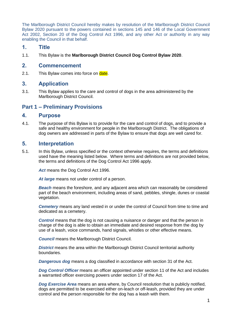The Marlborough District Council hereby makes by resolution of the Marlborough District Council Bylaw 2020 pursuant to the powers contained in sections 145 and 146 of the Local Government Act 2002, Section 20 of the Dog Control Act 1996, and any other Act or authority in any way enabling the Council in that behalf.

#### **1. Title**

1.1. This Bylaw is the **Marlborough District Council Dog Control Bylaw 2020**.

#### **2. Commencement**

2.1. This Bylaw comes into force on date.

#### **3. Application**

3.1. This Bylaw applies to the care and control of dogs in the area administered by the Marlborough District Council.

## **Part 1 – Preliminary Provisions**

#### **4. Purpose**

4.1. The purpose of this Bylaw is to provide for the care and control of dogs, and to provide a safe and healthy environment for people in the Marlborough District. The obligations of dog owners are addressed in parts of the Bylaw to ensure that dogs are well cared for.

#### **5. Interpretation**

5.1. In this Bylaw, unless specified or the context otherwise requires, the terms and definitions used have the meaning listed below. Where terms and definitions are not provided below, the terms and definitions of the Dog Control Act 1996 apply.

*Act* means the Dog Control Act 1996.

At *large* means not under control of a person.

*Beach* means the foreshore, and any adjacent area which can reasonably be considered part of the beach environment, including areas of sand, pebbles, shingle, dunes or coastal vegetation.

*Cemetery* means any land vested in or under the control of Council from time to time and dedicated as a cemetery.

*Control* means that the dog is not causing a nuisance or danger and that the person in charge of the dog is able to obtain an immediate and desired response from the dog by use of a leash, voice commands, hand signals, whistles or other effective means.

*Council* means the Marlborough District Council.

*District* means the area within the Marlborough District Council territorial authority boundaries.

*Dangerous dog* means a dog classified in accordance with section 31 of the Act.

*Dog Control Officer* means an officer appointed under section 11 of the Act and includes a warranted officer exercising powers under section 17 of the Act.

*Dog Exercise Area* means an area where, by Council resolution that is publicly notified, dogs are permitted to be exercised either on-leach or off-leash, provided they are under control and the person responsible for the dog has a leash with them.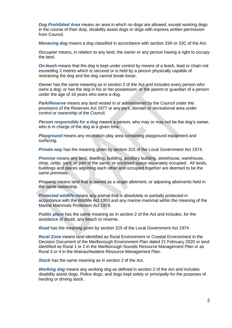*Dog Prohibited Area* means an area in which no dogs are allowed, except working dogs in the course of their duty, disability assist dogs or dogs with express written permission from Council.

*Menacing dog* means a dog classified in accordance with section 33A or 33C of the Act.

*Occupier* means, in relation to any land, the owner or any person having a right to occupy the land.

*On-leash* means that the dog is kept under control by means of a leash, lead or chain not exceeding 2 metres which is secured or is held by a person physically capable of restraining the dog and the dog cannot break loose.

*Owner* has the same meaning as in section 2 of the Act and includes every person who owns a dog; or has the dog in his or her possession; or the parent or guardian of a person under the age of 16 years who owns a dog.

*Park/Reserve* means any land vested in or administered by the Council under the provisions of the Reserves Act 1977 or any park, domain or recreational area under control or ownership of the Council.

*Person responsible for a dog* means a person, who may or may not be the dog's owner. who is in charge of the dog at a given time.

*Playground* means any recreation play area containing playground equipment and surfacing.

**Private way** has the meaning given by section 315 of the Local Government Act 1974.

*Premise* means any land, dwelling, building, ancillary building, storehouse, warehouse, shop, cellar, yard, or part of the same, or enclosed space separately occupied. All lands, buildings and places adjoining each other and occupied together are deemed to be the same premises.

*Property* means land that is owned as a single allotment, or adjoining allotments held in the same ownership.

*Protected wildlife* means any animal that is absolutely or partially protected in accordance with the Wildlife Act 1953 and any marine mammal within the meaning of the Marine Mammals Protection Act 1978.

*Public place* has the same meaning as in section 2 of the Act and includes, for the avoidance of doubt, any beach or reserve.

*Road* has the meaning given by section 315 of the Local Government Act 1974.

*Rural Zone* means land identified as Rural Environment or Coastal Environment in the Decision Document of the Marlborough Environment Plan dated 21 February 2020 or land identified as Rural 1 or 2 in the Marlborough Sounds Resource Management Plan or as Rural 3 or 4 in the Wairau/Awatere Resource Management Plan.

*Stock* has the same meaning as in section 2 of the Act.

*Working dog* means any working dog as defined in section 2 of the Act and includes disability assist dogs, Police dogs, and dogs kept solely or principally for the purposes of herding or driving stock.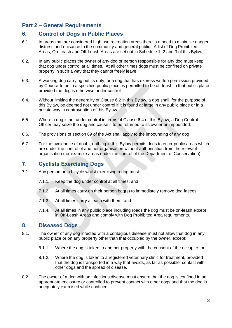## **Part 2 – General Requirements**

## **6. Control of Dogs in Public Places**

- 6.1. In areas that are considered high use recreation areas there is a need to minimise danger, distress and nuisance to the community and general public. A list of Dog Prohibited Areas, On-Leash and Off-Leash Areas are set out in Schedule 1, 2 and 3 of this Bylaw.
- 6.2. In any public places the owner of any dog or person responsible for any dog must keep that dog under control at all times. At all other times dogs must be confined on private property in such a way that they cannot freely leave.
- 6.3. A working dog carrying out its duty, or a dog that has express written permission provided by Council to be in a specified public place, is permitted to be off-leash in that public place provided the dog is otherwise under control.
- 6.4. Without limiting the generality of Clause 6.2 in this Bylaw, a dog shall, for the purpose of this Bylaw, be deemed not under control if it is found at large in any public place or in a private way in contravention of this Bylaw.
- 6.5. Where a dog is not under control in terms of Clause 6.4 of this Bylaw, a Dog Control Officer may seize the dog and cause it to be returned to its owner or impounded.
- 6.6. The provisions of section 69 of the Act shall apply to the impounding of any dog.
- 6.7. For the avoidance of doubt, nothing in this Bylaw permits dogs to enter public areas which are under the control of another organisation without authorisation from the relevant organisation (for example areas under the control of the Department of Conservation).

## **7. Cyclists Exercising Dogs**

- 7.1. Any person on a bicycle whilst exercising a dog must:
	- 7.1.1. Keep the dog under control at all times; and
	- 7.1.2. At all times carry on their person bag(s) to immediately remove dog faeces;
	- 7.1.3. At all times carry a leash with them; and
	- 7.1.4. At all times in any public place including roads the dog must be on-leash except in Off-Leash Areas and comply with Dog Prohibited Area requirements.

## **8. Diseased Dogs**

- 8.1. The owner of any dog infected with a contagious disease must not allow that dog in any public place or on any property other than that occupied by the owner, except:
	- 8.1.1. Where the dog is taken to another property with the consent of the occupier; or
	- 8.1.2. Where the dog is taken to a registered veterinary clinic for treatment, provided that the dog is transported in a way that avoids, as far as possible, contact with other dogs and the spread of disease.
- 8.2. The owner of a dog with an infectious disease must ensure that the dog is confined in an appropriate enclosure or controlled to prevent contact with other dogs and that the dog is adequately exercised while confined.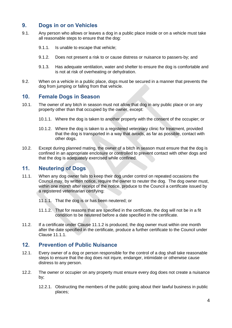## **9. Dogs in or on Vehicles**

- 9.1. Any person who allows or leaves a dog in a public place inside or on a vehicle must take all reasonable steps to ensure that the dog:
	- 9.1.1. Is unable to escape that vehicle;
	- 9.1.2. Does not present a risk to or cause distress or nuisance to passers-by; and
	- 9.1.3. Has adequate ventilation, water and shelter to ensure the dog is comfortable and is not at risk of overheating or dehydration.
- 9.2. When on a vehicle in a public place, dogs must be secured in a manner that prevents the dog from jumping or falling from that vehicle.

#### **10. Female Dogs in Season**

- 10.1. The owner of any bitch in season must not allow that dog in any public place or on any property other than that occupied by the owner, except:
	- 10.1.1. Where the dog is taken to another property with the consent of the occupier; or
	- 10.1.2. Where the dog is taken to a registered veterinary clinic for treatment, provided that the dog is transported in a way that avoids, as far as possible, contact with other dogs.
- 10.2. Except during planned mating, the owner of a bitch in season must ensure that the dog is confined in an appropriate enclosure or controlled to prevent contact with other dogs and that the dog is adequately exercised while confined.

## **11. Neutering of Dogs**

- 11.1. When any dog owner fails to keep their dog under control on repeated occasions the Council may, by written notice, require the owner to neuter the dog. The dog owner must, within one month after receipt of the notice, produce to the Council a certificate issued by a registered veterinarian certifying:
	- 11.1.1. That the dog is or has been neutered; or
	- 11.1.2. That for reasons that are specified in the certificate, the dog will not be in a fit condition to be neutered before a date specified in the certificate.
- 11.2. If a certificate under Clause 11.1.2 is produced, the dog owner must within one month after the date specified in the certificate, produce a further certificate to the Council under Clause 11.1.1.

#### **12. Prevention of Public Nuisance**

- 12.1. Every owner of a dog or person responsible for the control of a dog shall take reasonable steps to ensure that the dog does not injure, endanger, intimidate or otherwise cause distress to any person.
- 12.2. The owner or occupier on any property must ensure every dog does not create a nuisance by;
	- 12.2.1. Obstructing the members of the public going about their lawful business in public places;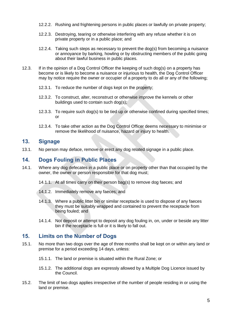- 12.2.2. Rushing and frightening persons in public places or lawfully on private property;
- 12.2.3. Destroying, tearing or otherwise interfering with any refuse whether it is on private property or in a public place; and
- 12.2.4. Taking such steps as necessary to prevent the dog(s) from becoming a nuisance or annoyance by barking, howling or by obstructing members of the public going about their lawful business in public places.
- 12.3. If in the opinion of a Dog Control Officer the keeping of such dog(s) on a property has become or is likely to become a nuisance or injurious to health, the Dog Control Officer may by notice require the owner or occupier of a property to do all or any of the following;
	- 12.3.1. To reduce the number of dogs kept on the property;
	- 12.3.2. To construct, alter, reconstruct or otherwise improve the kennels or other buildings used to contain such dog(s);
	- 12.3.3. To require such dog(s) to be tied up or otherwise confined during specified times; or
	- 12.3.4. To take other action as the Dog Control Officer deems necessary to minimise or remove the likelihood of nuisance, hazard or injury to health.

## **13. Signage**

13.1. No person may deface, remove or erect any dog related signage in a public place.

## **14. Dogs Fouling in Public Places**

- 14.1. Where any dog defecates in a public place or on property other than that occupied by the owner, the owner or person responsible for that dog must;
	- 14.1.1. At all times carry on their person bag(s) to remove dog faeces; and
	- 14.1.2. Immediately remove any faeces; and
	- 14.1.3. Where a public litter bin or similar receptacle is used to dispose of any faeces they must be suitably wrapped and contained to prevent the receptacle from being fouled; and
	- 14.1.4. Not deposit or attempt to deposit any dog fouling in, on, under or beside any litter bin if the receptacle is full or it is likely to fall out.

#### **15. Limits on the Number of Dogs**

- 15.1. No more than two dogs over the age of three months shall be kept on or within any land or premise for a period exceeding 14 days, unless:
	- 15.1.1. The land or premise is situated within the Rural Zone; or
	- 15.1.2. The additional dogs are expressly allowed by a Multiple Dog Licence issued by the Council.
- 15.2. The limit of two dogs applies irrespective of the number of people residing in or using the land or premise.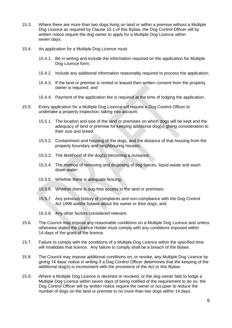- 15.3. Where there are more than two dogs living on land or within a premise without a Multiple Dog Licence as required by Clause 15.1 of this Bylaw, the Dog Control Officer will by written notice require the dog owner to apply for a Multiple Dog Licence within seven days.
- 15.4. An application for a Multiple Dog Licence must:
	- 15.4.1. Be in writing and include the information required on the application for Multiple Dog Licence form;
	- 15.4.2. Include any additional information reasonably required to process the application;
	- 15.4.3. If the land or premise is rented or leased then written consent from the property owner is required; and
	- 15.4.4. Payment of the application fee is required at the time of lodging the application.
- 15.5. Every application for a Multiple Dog Licence will require a Dog Control Officer to undertake a property inspection, taking into account:
	- 15.5.1. The location and size of the land or premises on which dogs will be kept and the adequacy of land or premise for keeping additional dog(s) giving consideration to their size and breed;
	- 15.5.2. Containment and housing of the dogs, and the distance of that housing from the property boundary and neighbouring houses;
	- 15.5.3. The likelihood of the dog(s) becoming a nuisance;
	- 15.5.4. The method of removing and disposing of dog faeces, liquid waste and wash down water;
	- 15.5.5. Whether there is adequate fencing;
	- 15.5.6. Whether there is dog-free access to the land or premises;
	- 15.5.7. Any previous history of complaints and non-compliance with the Dog Control Act 1996 and/or bylaws about the owner or their dogs; and
	- 15.5.8. Any other factors considered relevant.
- 15.6. The Council may impose any reasonable conditions on a Multiple Dog Licence and unless otherwise stated the Licence Holder must comply with any conditions imposed within 14 days of the grant of the licence.
- 15.7. Failure to comply with the conditions of a Multiple Dog Licence within the specified time will invalidate that licence. Any failure to comply shall be a breach of the Bylaw.
- 15.8. The Council may impose additional conditions on, or revoke, any Multiple Dog Licence by giving 14 days' notice in writing if a Dog Control Officer determines that the keeping of the additional dog(s) is inconsistent with the provisions of the Act or this Bylaw.
- 15.9. Where a Multiple Dog Licence is declined or revoked, or the dog owner fails to lodge a Multiple Dog Licence within seven days of being notified of the requirement to do so, the Dog Control Officer will by written notice require the owner or occupier to reduce the number of dogs on the land or premise to no more than two dogs within 14 days.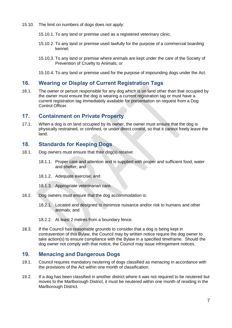- 15.10. The limit on numbers of dogs does not apply:
	- 15.10.1. To any land or premise used as a registered veterinary clinic;
	- 15.10.2. To any land or premise used lawfully for the purpose of a commercial boarding kennel;
	- 15.10.3. To any land or premise where animals are kept under the care of the Society of Prevention of Cruelty to Animals; or

15.10.4. To any land or premise used for the purpose of impounding dogs under the Act.

## **16. Wearing or Display of Current Registration Tags**

16.1. The owner or person responsible for any dog which is on land other than that occupied by the owner must ensure the dog is wearing a current registration tag or must have a current registration tag immediately available for presentation on request from a Dog Control Officer.

#### **17. Containment on Private Property**

17.1. When a dog is on land occupied by its owner, the owner must ensure that the dog is physically restrained, or confined, or under direct control, so that it cannot freely leave the land.

## **18. Standards for Keeping Dogs**

- 18.1. Dog owners must ensure that their dog(s) receive:
	- 18.1.1. Proper care and attention and is supplied with proper and sufficient food, water and shelter; and
	- 18.1.2. Adequate exercise; and
	- 18.1.3. Appropriate veterinarian care.
- 18.2. Dog owners must ensure that the dog accommodation is:
	- 18.2.1. Located and designed to minimize nuisance and/or risk to humans and other animals; and

18.3. If the Council has reasonable grounds to consider that a dog is being kept in contravention of this Bylaw, the Council may by written notice require the dog owner to take action(s) to ensure compliance with the Bylaw in a specified timeframe. Should the dog owner not comply with that notice, the Council may issue infringement notices.

## **19. Menacing and Dangerous Dogs**

- 19.1. Council requires mandatory neutering of dogs classified as menacing in accordance with the provisions of the Act within one month of classification.
- 19.2. If a dog has been classified in another district where it was not required to be neutered but moves to the Marlborough District, it must be neutered within one month of residing in the Marlborough District.

<sup>18.2.2.</sup> At least 2 metres from a boundary fence.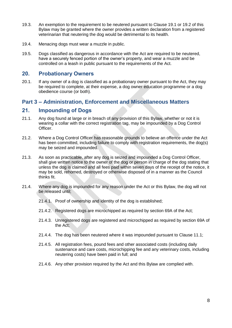- 19.3. An exemption to the requirement to be neutered pursuant to Clause 19.1 or 19.2 of this Bylaw may be granted where the owner provides a written declaration from a registered veterinarian that neutering the dog would be detrimental to its health.
- 19.4. Menacing dogs must wear a muzzle in public.
- 19.5. Dogs classified as dangerous in accordance with the Act are required to be neutered, have a securely fenced portion of the owner's property, and wear a muzzle and be controlled on a leash in public pursuant to the requirements of the Act.

## **20. Probationary Owners**

20.1. If any owner of a dog is classified as a probationary owner pursuant to the Act, they may be required to complete, at their expense, a dog owner education programme or a dog obedience course (or both).

## **Part 3 – Administration, Enforcement and Miscellaneous Matters**

## **21. Impounding of Dogs**

- 21.1. Any dog found at large or in breach of any provision of this Bylaw, whether or not it is wearing a collar with the correct registration tag, may be impounded by a Dog Control Officer.
- 21.2. Where a Dog Control Officer has reasonable grounds to believe an offence under the Act has been committed, including failure to comply with registration requirements, the dog(s) may be seized and impounded.
- 21.3. As soon as practicable, after any dog is seized and impounded a Dog Control Officer, shall give written notice to the owner of the dog or person in charge of the dog stating that unless the dog is claimed and all fees paid within seven days of the receipt of the notice, it may be sold, rehomed, destroyed or otherwise disposed of in a manner as the Council thinks fit.
- 21.4. Where any dog is impounded for any reason under the Act or this Bylaw, the dog will not be released until;
	- 21.4.1. Proof of ownership and identity of the dog is established;
	- 21.4.2. Registered dogs are microchipped as required by section 69A of the Act;
	- 21.4.3. Unregistered dogs are registered and microchipped as required by section 69A of the Act;
	- 21.4.4. The dog has been neutered where it was impounded pursuant to Clause 11.1;
	- 21.4.5. All registration fees, pound fees and other associated costs (including daily sustenance and care costs, microchipping fee and any veterinary costs, including neutering costs) have been paid in full; and
	- 21.4.6. Any other provision required by the Act and this Bylaw are complied with.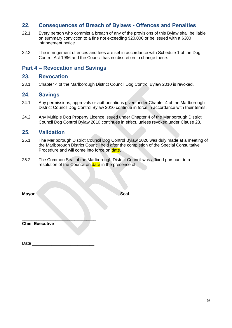## **22. Consequences of Breach of Bylaws - Offences and Penalties**

- 22.1. Every person who commits a breach of any of the provisions of this Bylaw shall be liable on summary conviction to a fine not exceeding \$20,000 or be issued with a \$300 infringement notice.
- 22.2. The infringement offences and fees are set in accordance with Schedule 1 of the Dog Control Act 1996 and the Council has no discretion to change these.

#### **Part 4 – Revocation and Savings**

#### **23. Revocation**

23.1. Chapter 4 of the Marlborough District Council Dog Control Bylaw 2010 is revoked.

#### **24. Savings**

- 24.1. Any permissions, approvals or authorisations given under Chapter 4 of the Marlborough District Council Dog Control Bylaw 2010 continue in force in accordance with their terms.
- 24.2. Any Multiple Dog Property Licence issued under Chapter 4 of the Marlborough District Council Dog Control Bylaw 2010 continues in effect, unless revoked under Clause 23.

#### **25. Validation**

- 25.1. The Marlborough District Council Dog Control Bylaw 2020 was duly made at a meeting of the Marlborough District Council held after the completion of the Special Consultative Procedure and will come into force on date.
- 25.2. The Common Seal of the Marlborough District Council was affixed pursuant to a resolution of the Council on date in the presence of:

| <b>Mayor</b>           |  | Seal |
|------------------------|--|------|
|                        |  |      |
| <b>Chief Executive</b> |  |      |

Date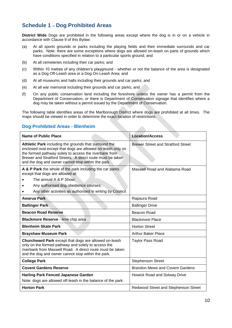## **Schedule 1 – Dog Prohibited Areas**

**District Wide** Dogs are prohibited in the following areas except where the dog is in or on a vehicle in accordance with Clause 9 of this Bylaw:

- (a) At all sports grounds or parks including the playing fields and their immediate surrounds and car parks. Note: there are some exceptions where dogs are allowed on-leash on parts of grounds which have conditions specified in relation to a particular sports ground; and
- (b) At all cemeteries including their car parks; and
- (c) Within 10 metres of any children's playground whether or not the balance of the area is designated as a Dog Off-Leash area or a Dog On-Leash Area; and
- (d) At all museums and halls including their grounds and car parks; and
- (e) At all war memorial including their grounds and car parks; and
- (f) On any public conservation land including the foreshore unless the owner has a permit from the Department of Conservation, or there is Department of Conservation signage that identifies where a dog may be taken without a permit issued by the Department of Conservation.

The following table identifies areas of the Marlborough District where dogs are prohibited at all times. The maps should be viewed in order to determine the exact location of restrictions.

#### **Dog Prohibited Areas - Blenheim**

| Name of Public Place                                                                                                                                                                                                                                                                               | <b>Location/Access</b>                      |
|----------------------------------------------------------------------------------------------------------------------------------------------------------------------------------------------------------------------------------------------------------------------------------------------------|---------------------------------------------|
| Athletic Park including the grounds that surround the<br>enclosed oval except that dogs are allowed on-leash only on<br>the formed pathway solely to access the riverbank from<br>Brewer and Stratford Streets. A direct route must be taken<br>and the dog and owner cannot stop within the park. | <b>Brewer Street and Stratford Street</b>   |
| A & P Park the whole of the park including the car parks<br>except that dogs are allowed at:<br>The annual A & P Show;<br>Any authorised dog obedience courses;<br>Any other activities as authorised in writing by Council.                                                                       | Maxwell Road and Alabama Road               |
| Awarua Park                                                                                                                                                                                                                                                                                        | Rapaura Road                                |
| <b>Ballinger Park</b>                                                                                                                                                                                                                                                                              | <b>Ballinger Drive</b>                      |
| <b>Beacon Road Reserve</b>                                                                                                                                                                                                                                                                         | Beacon Road                                 |
| Blackmore Reserve - lime chip area                                                                                                                                                                                                                                                                 | <b>Blackmore Place</b>                      |
| <b>Blenheim Skate Park</b>                                                                                                                                                                                                                                                                         | <b>Horton Street</b>                        |
| <b>Brayshaw Museum Park</b>                                                                                                                                                                                                                                                                        | <b>Arthur Baker Place</b>                   |
| Churchward Park except that dogs are allowed on-leash<br>only on the formed pathway and solely to access the<br>riverbank from Maxwell Road. A direct route must be taken<br>and the dog and owner cannot stop within the park.                                                                    | <b>Taylor Pass Road</b>                     |
| <b>College Park</b>                                                                                                                                                                                                                                                                                | <b>Stephenson Street</b>                    |
| <b>Covent Gardens Reserve</b>                                                                                                                                                                                                                                                                      | <b>Brandon Mews and Covent Gardens</b>      |
| <b>Harling Park Fenced Japanese Garden</b>                                                                                                                                                                                                                                                         | Howick Road and Solway Drive                |
| Note: dogs are allowed off-leash in the balance of the park.                                                                                                                                                                                                                                       |                                             |
| <b>Horton Park</b>                                                                                                                                                                                                                                                                                 | <b>Redwood Street and Stephenson Street</b> |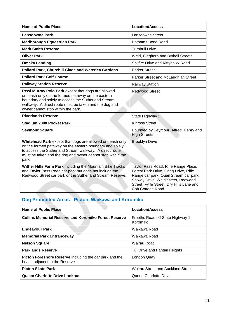| Name of Public Place                                                                                                                                                                                                                                           | <b>Location/Access</b>                                                                                                                                                                                                         |
|----------------------------------------------------------------------------------------------------------------------------------------------------------------------------------------------------------------------------------------------------------------|--------------------------------------------------------------------------------------------------------------------------------------------------------------------------------------------------------------------------------|
| <b>Lansdowne Park</b>                                                                                                                                                                                                                                          | Lansdowne Street                                                                                                                                                                                                               |
| <b>Marlborough Equestrian Park</b>                                                                                                                                                                                                                             | <b>Bothams Bend Road</b>                                                                                                                                                                                                       |
| <b>Mark Smith Reserve</b>                                                                                                                                                                                                                                      | <b>Turnbull Drive</b>                                                                                                                                                                                                          |
| <b>Oliver Park</b>                                                                                                                                                                                                                                             | Weld, Cleghorn and Bythell Streets                                                                                                                                                                                             |
| <b>Omaka Landing</b>                                                                                                                                                                                                                                           | Spitfire Drive and Kittyhawk Road                                                                                                                                                                                              |
| Pollard Park, Churchill Glade and Waterlea Gardens                                                                                                                                                                                                             | <b>Parker Street</b>                                                                                                                                                                                                           |
| <b>Pollard Park Golf Course</b>                                                                                                                                                                                                                                | Parker Street and McLaughlan Street                                                                                                                                                                                            |
| <b>Railway Station Reserve</b>                                                                                                                                                                                                                                 | <b>Railway Station</b>                                                                                                                                                                                                         |
| Rewi Murray Polo Park except that dogs are allowed<br>on-leash only on the formed pathway on the eastern<br>boundary and solely to access the Sutherland Stream<br>walkway. A direct route must be taken and the dog and<br>owner cannot stop within the park. | <b>Redwood Street</b>                                                                                                                                                                                                          |
| <b>Riverlands Reserve</b>                                                                                                                                                                                                                                      | State Highway 1                                                                                                                                                                                                                |
| <b>Stadium 2000 Pocket Park</b>                                                                                                                                                                                                                                | <b>Kinross Street</b>                                                                                                                                                                                                          |
| <b>Seymour Square</b>                                                                                                                                                                                                                                          | Bounded by Seymour, Alfred, Henry and<br><b>High Streets</b>                                                                                                                                                                   |
| Whitehead Park except that dogs are allowed on-leash only<br>on the formed pathway on the eastern boundary and solely<br>to access the Sutherland Stream walkway. A direct route<br>must be taken and the dog and owner cannot stop within the<br>park.        | <b>Brooklyn Drive</b>                                                                                                                                                                                                          |
| Wither Hills Farm Park including the Mountain Bike Tracks<br>and Taylor Pass Road car park but does not include the<br>Redwood Street car park or the Sutherland Stream Reserve.                                                                               | Taylor Pass Road, Rifle Range Place,<br>Forest Park Drive, Grigg Drive, Rifle<br>Range car park, Quail Stream car park,<br>Solway Drive, Weld Street, Redwood<br>Street, Fyffe Street, Dry Hills Lane and<br>Cob Cottage Road. |

#### **Dog Prohibited Areas - Picton, Waikawa and Koromiko**

| Name of Public Place                                                                      | <b>Location/Access</b>                        |
|-------------------------------------------------------------------------------------------|-----------------------------------------------|
| Collins Memorial Reserve and Koromiko Forest Reserve                                      | Freeths Road off State Highway 1,<br>Koromiko |
| <b>Endeavour Park</b>                                                                     | Waikawa Road                                  |
| <b>Memorial Park Entranceway</b>                                                          | Waikawa Road                                  |
| <b>Nelson Square</b>                                                                      | Wairau Road                                   |
| <b>Parklands Reserve</b>                                                                  | Tui Drive and Fantail Heights                 |
| Picton Foreshore Reserve including the car park and the<br>beach adjacent to the Reserve. | London Quay                                   |
| <b>Picton Skate Park</b>                                                                  | Wairau Street and Auckland Street             |
| Queen Charlotte Drive Lookout                                                             | Queen Charlotte Drive                         |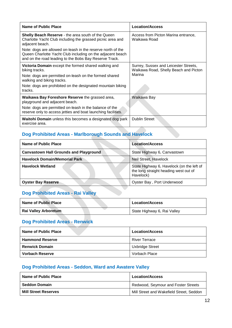| Name of Public Place                                                                                                                                                                | <b>Location/Access</b>                                                         |
|-------------------------------------------------------------------------------------------------------------------------------------------------------------------------------------|--------------------------------------------------------------------------------|
| <b>Shelly Beach Reserve</b> - the area south of the Queen<br>Charlotte Yacht Club including the grassed picnic area and<br>adjacent beach.                                          | Access from Picton Marina entrance,<br>Waikawa Road                            |
| Note: dogs are allowed on-leash in the reserve north of the<br>Queen Charlotte Yacht Club including on the adjacent beach<br>and on the road leading to the Bobs Bay Reserve Track. |                                                                                |
| Victoria Domain except the formed shared walking and<br>biking tracks.                                                                                                              | Surrey, Sussex and Leicester Streets,<br>Waikawa Road, Shelly Beach and Picton |
| Note: dogs are permitted on-leash on the formed shared<br>walking and biking tracks.                                                                                                | Marina                                                                         |
| Note: dogs are prohibited on the designated mountain biking<br>tracks.                                                                                                              |                                                                                |
| Waikawa Bay Foreshore Reserve the grassed area,<br>playground and adjacent beach.                                                                                                   | Waikawa Bay                                                                    |
| Note: dogs are permitted on-leash in the balance of the<br>reserve only to access jetties and boat launching facilities.                                                            |                                                                                |
| <b>Waitohi Domain</b> unless this becomes a designated dog park<br>exercise area.                                                                                                   | <b>Dublin Street</b>                                                           |

#### **Dog Prohibited Areas - Marlborough Sounds and Havelock**

| <b>Name of Public Place</b>                   | <b>Location/Access</b>                                                                          |
|-----------------------------------------------|-------------------------------------------------------------------------------------------------|
| <b>Canvastown Hall Grounds and Playground</b> | State Highway 6, Canvastown                                                                     |
| <b>Havelock Domain/Memorial Park</b>          | Neil Street, Havelock                                                                           |
| <b>Havelock Wetland</b>                       | State Highway 6, Havelock (on the left of<br>the long straight heading west out of<br>Havelock) |
| <b>Oyster Bay Reserve</b>                     | Oyster Bay, Port Underwood                                                                      |

# **Dog Prohibited Areas - Rai Valley**

| <b>Name of Public Place</b> | <b>Location/Access</b>      |
|-----------------------------|-----------------------------|
| <b>Rai Valley Arboretum</b> | State Highway 6, Rai Valley |

# **Dog Prohibited Areas - Renwick**

| Name of Public Place   | <b>Location/Access</b> |
|------------------------|------------------------|
| <b>Hammond Reserve</b> | <b>River Terrace</b>   |
| <b>Renwick Domain</b>  | Uxbridge Street        |
| Vorbach Reserve        | Vorbach Place          |

## **Dog Prohibited Areas - Seddon, Ward and Awatere Valley**

| Name of Public Place        | <b>Location/Access</b>                   |
|-----------------------------|------------------------------------------|
| <b>Seddon Domain</b>        | Redwood, Seymour and Foster Streets      |
| <b>Mill Street Reserves</b> | Mill Street and Wakefield Street, Seddon |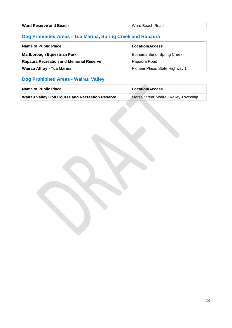| <b>Ward Reserve and Beach</b> | Ward Beach Road |
|-------------------------------|-----------------|
|-------------------------------|-----------------|

# **Dog Prohibited Areas - Tua Marina, Spring Creek and Rapaura**

| Name of Public Place                           | <b>Location/Access</b>         |
|------------------------------------------------|--------------------------------|
| <b>Marlborough Equestrian Park</b>             | Bothams Bend, Spring Creek     |
| <b>Rapaura Recreation and Memorial Reserve</b> | Rapaura Road                   |
| Wairau Affray - Tua Marina                     | Pioneer Place, State Highway 1 |

# **Dog Prohibited Areas - Wairau Valley**

| Name of Public Place                                    | <b>Location/Access</b>               |
|---------------------------------------------------------|--------------------------------------|
| <b>Wairau Valley Golf Course and Recreation Reserve</b> | Morse Street, Wairau Valley Township |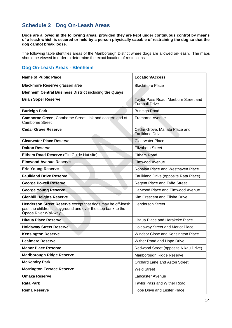## **Schedule 2 – Dog On-Leash Areas**

**Dogs are allowed in the following areas, provided they are kept under continuous control by means of a leash which is secured or held by a person physically capable of restraining the dog so that the dog cannot break loose.** 

The following table identifies areas of the Marlborough District where dogs are allowed on-leash. The maps should be viewed in order to determine the exact location of restrictions.

#### **Dog On-Leash Areas - Blenheim**

| <b>Name of Public Place</b>                                                                                                                       | <b>Location/Access</b>                                        |
|---------------------------------------------------------------------------------------------------------------------------------------------------|---------------------------------------------------------------|
| <b>Blackmore Reserve grassed area</b>                                                                                                             | <b>Blackmore Place</b>                                        |
| <b>Blenheim Central Business District including the Quays</b>                                                                                     |                                                               |
| <b>Brian Soper Reserve</b>                                                                                                                        | Taylor Pass Road, Maeburn Street and<br><b>Turnbull Drive</b> |
| <b>Burleigh Park</b>                                                                                                                              | <b>Burleigh Road</b>                                          |
| Camborne Green, Camborne Street Link and eastern end of<br><b>Camborne Street</b>                                                                 | <b>Tremorne Avenue</b>                                        |
| <b>Cedar Grove Reserve</b>                                                                                                                        | Cedar Grove, Manatu Place and<br><b>Faulkland Drive</b>       |
| <b>Clearwater Place Reserve</b>                                                                                                                   | <b>Clearwater Place</b>                                       |
| <b>Dalton Reserve</b>                                                                                                                             | <b>Elizabeth Street</b>                                       |
| Eltham Road Reserve (Girl Guide Hut site)                                                                                                         | <b>Eltham Road</b>                                            |
| <b>Elmwood Avenue Reserve</b>                                                                                                                     | Elmwood Avenue                                                |
| <b>Eric Young Reserve</b>                                                                                                                         | Robalan Place and Westhaven Place                             |
| <b>Faulkland Drive Reserve</b>                                                                                                                    | Faulkland Drive (opposite Rata Place)                         |
| <b>George Powell Reserve</b>                                                                                                                      | Regent Place and Fyffe Street                                 |
| <b>George Young Reserve</b>                                                                                                                       | Harwood Place and Elmwood Avenue                              |
| <b>Glenhill Heights Reserve</b>                                                                                                                   | Kim Crescent and Elisha Drive                                 |
| Henderson Street Reserve except that dogs may be off-leash<br>past the children's playground and over the stop bank to the<br>Ōpaoa River Walkway | <b>Henderson Street</b>                                       |
| <b>Hitaua Place Reserve</b>                                                                                                                       | Hitaua Place and Harakeke Place                               |
| <b>Holdaway Street Reserve</b>                                                                                                                    | Holdaway Street and Merlot Place                              |
| <b>Kensington Reserve</b>                                                                                                                         | Windsor Close and Kensington Place                            |
| <b>Leafmere Reserve</b>                                                                                                                           | Wither Road and Hope Drive                                    |
| <b>Manor Place Reserve</b>                                                                                                                        | Redwood Street (opposite Nikau Drive)                         |
| <b>Marlborough Ridge Reserve</b>                                                                                                                  | Marlborough Ridge Reserve                                     |
| <b>McKendry Park</b>                                                                                                                              | Orchard Lane and Aston Street                                 |
| <b>Morrington Terrace Reserve</b>                                                                                                                 | <b>Weld Street</b>                                            |
| <b>Omaka Reserve</b>                                                                                                                              | Lancaster Avenue                                              |
| <b>Rata Park</b>                                                                                                                                  | Taylor Pass and Wither Road                                   |
| <b>Rema Reserve</b>                                                                                                                               | Hope Drive and Lester Place                                   |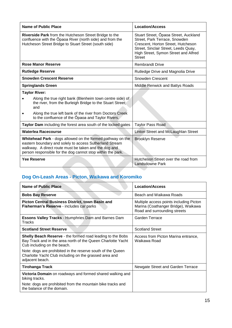| Name of Public Place                                                                                                                                                                                                                          | <b>Location/Access</b>                                                                                                                                                                                        |
|-----------------------------------------------------------------------------------------------------------------------------------------------------------------------------------------------------------------------------------------------|---------------------------------------------------------------------------------------------------------------------------------------------------------------------------------------------------------------|
| <b>Riverside Park</b> from the Hutcheson Street Bridge to the<br>confluence with the Opaoa River (north side) and from the<br>Hutcheson Street Bridge to Stuart Street (south side)                                                           | Stuart Street, Opaoa Street, Auckland<br>Street, Park Terrace, Snowden<br>Crescent, Horton Street, Hutcheson<br>Street, Sinclair Street, Leeds Quay,<br>High Street, Symon Street and Alfred<br><b>Street</b> |
| <b>Rose Manor Reserve</b>                                                                                                                                                                                                                     | <b>Rembrandt Drive</b>                                                                                                                                                                                        |
| <b>Rutledge Reserve</b>                                                                                                                                                                                                                       | Rutledge Drive and Magnolia Drive                                                                                                                                                                             |
| <b>Snowden Crescent Reserve</b>                                                                                                                                                                                                               | <b>Snowden Crescent</b>                                                                                                                                                                                       |
| <b>Springlands Green</b>                                                                                                                                                                                                                      | Middle Renwick and Battys Roads                                                                                                                                                                               |
| <b>Taylor River:</b>                                                                                                                                                                                                                          |                                                                                                                                                                                                               |
| Along the true right bank (Blenheim town centre side) of<br>the river, from the Burleigh Bridge to the Stuart Street;<br>and                                                                                                                  |                                                                                                                                                                                                               |
| Along the true left bank of the river from Doctors Creek<br>to the confluence of the Opaoa and Taylor Rivers.                                                                                                                                 |                                                                                                                                                                                                               |
| Taylor Dam including the forest area south of the locked gates                                                                                                                                                                                | <b>Taylor Pass Road</b>                                                                                                                                                                                       |
| <b>Waterlea Racecourse</b>                                                                                                                                                                                                                    | Linton Street and McLaughlan Street                                                                                                                                                                           |
| Whitehead Park - dogs allowed on the formed pathway on the<br>eastern boundary and solely to access Sutherland Stream<br>walkway. A direct route must be taken and the dog and<br>person responsible for the dog cannot stop within the park. | <b>Brooklyn Reserve</b>                                                                                                                                                                                       |
| <b>Yee Reserve</b>                                                                                                                                                                                                                            | Hutcheson Street over the road from<br>Landsdowne Park                                                                                                                                                        |

# **Dog On-Leash Areas - Picton, Waikawa and Koromiko**

| Name of Public Place                                                                                                                                             | <b>Location/Access</b>                                                                                         |
|------------------------------------------------------------------------------------------------------------------------------------------------------------------|----------------------------------------------------------------------------------------------------------------|
| <b>Bobs Bay Reserve</b>                                                                                                                                          | Beach and Waikawa Roads                                                                                        |
| <b>Picton Central Business District, town Basin and</b><br>Fisherman's Reserve - includes car parks                                                              | Multiple access points including Picton<br>Marina (Coathanger Bridge), Waikawa<br>Road and surrounding streets |
| <b>Essons Valley Tracks - Humphries Dam and Barnes Dam</b><br>Tracks                                                                                             | Garden Terrace                                                                                                 |
| <b>Scotland Street Reserve</b>                                                                                                                                   | <b>Scotland Street</b>                                                                                         |
| <b>Shelly Beach Reserve</b> - the formed road leading to the Bobs<br>Bay Track and in the area north of the Queen Charlotte Yacht<br>Cub including on the beach. | Access from Picton Marina entrance,<br>Waikawa Road                                                            |
| Note: dogs are prohibited in the reserve south of the Queen<br>Charlotte Yacht Club including on the grassed area and<br>adjacent beach.                         |                                                                                                                |
| <b>Tirohanga Track</b>                                                                                                                                           | Newgate Street and Garden Terrace                                                                              |
| Victoria Domain on roadways and formed shared walking and<br>biking tracks.                                                                                      |                                                                                                                |
| Note: dogs are prohibited from the mountain bike tracks and<br>the balance of the domain.                                                                        |                                                                                                                |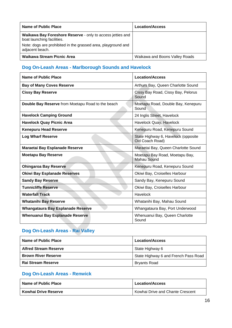| Name of Public Place                                                                     | <b>Location/Access</b>         |
|------------------------------------------------------------------------------------------|--------------------------------|
| Waikawa Bay Foreshore Reserve - only to access jetties and<br>boat launching facilities. |                                |
| Note: dogs are prohibited in the grassed area, playground and<br>adjacent beach.         |                                |
| Waikawa Stream Picnic Area                                                               | Waikawa and Boons Valley Roads |

# **Dog On-Leash Areas - Marlborough Sounds and Havelock**

| Name of Public Place                              | <b>Location/Access</b>                                 |
|---------------------------------------------------|--------------------------------------------------------|
| <b>Bay of Many Coves Reserve</b>                  | Arthurs Bay, Queen Charlotte Sound                     |
| <b>Cissy Bay Reserve</b>                          | Cissy Bay Road, Cissy Bay, Pelorus<br>Sound            |
| Double Bay Reserve from Moetapu Road to the beach | Moetapu Road, Double Bay, Kenepuru<br>Sound            |
| <b>Havelock Camping Ground</b>                    | 24 Inglis Street, Havelock                             |
| <b>Havelock Quay Picnic Area</b>                  | Havelock Quay, Havelock                                |
| <b>Kenepuru Head Reserve</b>                      | Kenepuru Road, Kenepuru Sound                          |
| <b>Log Wharf Reserve</b>                          | State Highway 6, Havelock (opposite<br>Old Coach Road) |
| Maraetai Bay Esplanade Reserve                    | Maraetai Bay, Queen Charlotte Sound                    |
| <b>Moetapu Bay Reserve</b>                        | Moetapu Bay Road, Moetapu Bay,<br><b>Mahau Sound</b>   |
| <b>Ohingaroa Bay Reserve</b>                      | Kenepuru Road, Kenepuru Sound                          |
| <b>Okiwi Bay Esplanade Reserves</b>               | Okiwi Bay, Croiselles Harbour                          |
| <b>Sandy Bay Reserve</b>                          | Sandy Bay, Kenepuru Sound                              |
| <b>Tunnicliffe Reserve</b>                        | Okiwi Bay, Croiselles Harbour                          |
| <b>Waterfall Track</b>                            | Havelock                                               |
| <b>Whatanihi Bay Reserve</b>                      | Whatanihi Bay, Mahau Sound                             |
| Whangataura Bay Esplanade Reserve                 | Whangataura Bay, Port Underwood                        |
| <b>Whenuanui Bay Esplanade Reserve</b>            | Whenuanui Bay, Queen Charlotte<br>Sound                |

# **Dog On-Leash Areas - Rai Valley**

| Name of Public Place         | <b>Location/Access</b>               |
|------------------------------|--------------------------------------|
| <b>Alfred Stream Reserve</b> | State Highway 6                      |
| <b>Brown River Reserve</b>   | State Highway 6 and French Pass Road |
| <b>Rai Stream Reserve</b>    | <b>Bryants Road</b>                  |

# **Dog On-Leash Areas - Renwick**

| Name of Public Place | <b>Location/Access</b>           |
|----------------------|----------------------------------|
| Kowhai Drive Reserve | Kowhai Drive and Chante Crescent |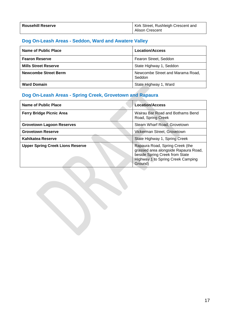| <b>Rousehill Reserve</b> | Kirk Street, Rushleigh Crescent and |
|--------------------------|-------------------------------------|
|                          | <b>Alison Crescent</b>              |

# **Dog On-Leash Areas - Seddon, Ward and Awatere Valley**

| Name of Public Place        | <b>Location/Access</b>                     |
|-----------------------------|--------------------------------------------|
| <b>Fearon Reserve</b>       | Fearon Street, Seddon                      |
| <b>Mills Street Reserve</b> | State Highway 1, Seddon                    |
| <b>Newcombe Street Berm</b> | Newcombe Street and Marama Road,<br>Seddon |
| <b>Ward Domain</b>          | State Highway 1, Ward                      |

# **Dog On-Leash Areas - Spring Creek, Grovetown and Rapaura**

| <b>Name of Public Place</b>             | <b>Location/Access</b>                                                                                                                                    |
|-----------------------------------------|-----------------------------------------------------------------------------------------------------------------------------------------------------------|
| <b>Ferry Bridge Picnic Area</b>         | Wairau Bar Road and Bothams Bend<br>Road, Spring Creek                                                                                                    |
| <b>Grovetown Lagoon Reserves</b>        | Steam Wharf Road, Grovetown                                                                                                                               |
| <b>Grovetown Reserve</b>                | Vickerman Street, Grovetown                                                                                                                               |
| Kahikatea Reserve                       | State Highway 1, Spring Creek                                                                                                                             |
| <b>Upper Spring Creek Lions Reserve</b> | Rapaura Road, Spring Creek (the<br>grassed area alongside Rapaura Road,<br>beside Spring Creek from State<br>Highway 1 to Spring Creek Camping<br>Ground) |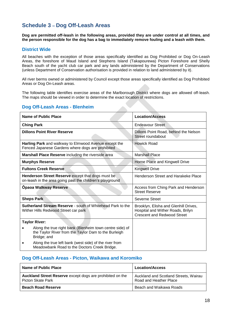## **Schedule 3 – Dog Off-Leash Areas**

**Dog are permitted off-leash in the following areas, provided they are under control at all times, and the person responsible for the dog has a bag to immediately remove fouling and a leash with them.** 

#### **District Wide**

All beaches with the exception of those areas specifically identified as Dog Prohibited or Dog On-Leash Areas, the foreshore of Maud Island and Stephens Island (Takapourewa) Picton Foreshore and Shelly Beach south of the yacht club car park and any lands administered by the Department of Conservations (unless Department of Conservation authorisation is provided in relation to land administered by it).

All river berms owned or administered by Council except those areas specifically identified as Dog Prohibited Areas or Dog On-Leash areas.

The following table identifies exercise areas of the Marlborough District where dogs are allowed off-leash. The maps should be viewed in order to determine the exact location of restrictions.

#### **Dog Off-Leash Areas - Blenheim**

| Name of Public Place                                                                                                            | <b>Location/Access</b>                                                                                           |
|---------------------------------------------------------------------------------------------------------------------------------|------------------------------------------------------------------------------------------------------------------|
| <b>Ching Park</b>                                                                                                               | <b>Endeavour Street</b>                                                                                          |
| <b>Dillons Point River Reserve</b>                                                                                              | Dillons Point Road, behind the Nelson<br>Street roundabout                                                       |
| Harling Park and walkway to Elmwood Avenue except the<br>Fenced Japanese Gardens where dogs are prohibited                      | Howick Road                                                                                                      |
| Marshall Place Reserve including the riverside area                                                                             | <b>Marshall Place</b>                                                                                            |
| <b>Murphys Reserve</b>                                                                                                          | Horne Place and Kingwell Drive                                                                                   |
| <b>Fultons Creek Reserve</b>                                                                                                    | <b>Kingwell Drive</b>                                                                                            |
| Henderson Street Reserve except that dogs must be<br>on-leash in the area going past the children's playground                  | Henderson Street and Harakeke Place                                                                              |
| <b>Opaoa Walkway Reserve</b>                                                                                                    | Access from Ching Park and Henderson<br><b>Street Reserve</b>                                                    |
| <b>Sheps Park</b>                                                                                                               | Severne Street                                                                                                   |
| <b>Sutherland Stream Reserve - south of Whitehead Park to the</b><br>Wither Hills Redwood Street car park                       | Brooklyn, Elisha and Glenhill Drives,<br>Hospital and Wither Roads, Brilyn<br><b>Crescent and Redwood Street</b> |
| <b>Taylor River:</b>                                                                                                            |                                                                                                                  |
| Along the true right bank (Blenheim town centre side) of<br>the Taylor River from the Taylor Dam to the Burleigh<br>Bridge; and |                                                                                                                  |
| Along the true left bank (west side) of the river from<br>Meadowbank Road to the Doctors Creek Bridge.                          |                                                                                                                  |

#### **Dog Off-Leash Areas - Picton, Waikawa and Koromiko**

| Name of Public Place                                                           | <b>Location/Access</b>                                          |
|--------------------------------------------------------------------------------|-----------------------------------------------------------------|
| Auckland Street Reserve except dogs are prohibited on the<br>Picton Skate Park | Auckland and Scotland Streets, Wairau<br>Road and Heather Place |
| <b>Beach Road Reserve</b>                                                      | Beach and Waikawa Roads                                         |